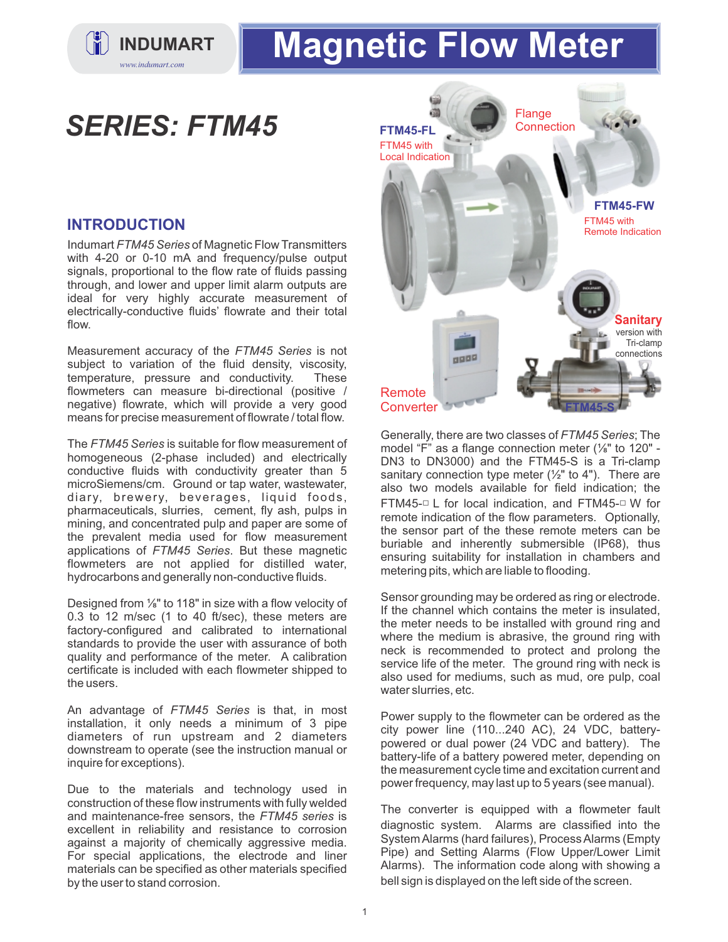

# **INDUMART | Magnetic Flow Meter**

## *SERIES: FTM45*

#### **INTRODUCTION**

Indumart *FTM45 Series*of Magnetic Flow Transmitters with 4-20 or 0-10 mA and frequency/pulse output signals, proportional to the flow rate of fluids passing through, and lower and upper limit alarm outputs are ideal for very highly accurate measurement of electrically-conductive fluids' flowrate and their total flow.

Measurement accuracy of the *FTM45 Series* is not subject to variation of the fluid density, viscosity, temperature, pressure and conductivity. These flowmeters can measure bi-directional (positive / negative) flowrate, which will provide a very good means for precise measurement of flowrate / total flow.

The *FTM45 Series* is suitable for flow measurement of homogeneous (2-phase included) and electrically conductive fluids with conductivity greater than 5 microSiemens/cm. Ground or tap water, wastewater, diary, brewery, beverages, liquid foods, pharmaceuticals, slurries, cement, fly ash, pulps in mining, and concentrated pulp and paper are some of the prevalent media used for flow measurement applications of *FTM45 Series*. But these magnetic flowmeters are not applied for distilled water, hydrocarbons and generally non-conductive fluids.

Designed from ⅛" to 118" in size with a flow velocity of 0.3 to 12 m/sec (1 to 40 ft/sec), these meters are factory-configured and calibrated to international standards to provide the user with assurance of both quality and performance of the meter. A calibration certificate is included with each flowmeter shipped to the users.

An advantage of *FTM45 Series* is that, in most installation, it only needs a minimum of 3 pipe diameters of run upstream and 2 diameters downstream to operate (see the instruction manual or inquire for exceptions).

Due to the materials and technology used in construction of these flow instruments with fully welded and maintenance-free sensors, the *FTM45 series* is excellent in reliability and resistance to corrosion against a majority of chemically aggressive media. For special applications, the electrode and liner materials can be specified as other materials specified by the user to stand corrosion.



Generally, there are two classes of *FTM45 Series*; The model "F" as a flange connection meter (⅛" to 120" - DN3 to DN3000) and the FTM45-S is a Tri-clamp sanitary connection type meter  $(\frac{1}{2})^n$  to 4"). There are also two models available for field indication; the FTM45-□ L for local indication, and FTM45-□ W for remote indication of the flow parameters. Optionally, the sensor part of the these remote meters can be buriable and inherently submersible (IP68), thus ensuring suitability for installation in chambers and metering pits, which are liable to flooding.

Sensor grounding may be ordered as ring or electrode. If the channel which contains the meter is insulated, the meter needs to be installed with ground ring and where the medium is abrasive, the ground ring with neck is recommended to protect and prolong the service life of the meter. The ground ring with neck is also used for mediums, such as mud, ore pulp, coal water slurries, etc.

Power supply to the flowmeter can be ordered as the city power line (110...240 AC), 24 VDC, batterypowered or dual power (24 VDC and battery). The battery-life of a battery powered meter, depending on the measurement cycle time and excitation current and power frequency, may last up to 5 years (see manual).

The converter is equipped with a flowmeter fault diagnostic system. Alarms are classified into the System Alarms (hard failures), Process Alarms (Empty Pipe) and Setting Alarms (Flow Upper/Lower Limit Alarms). The information code along with showing a bell sign is displayed on the left side of the screen.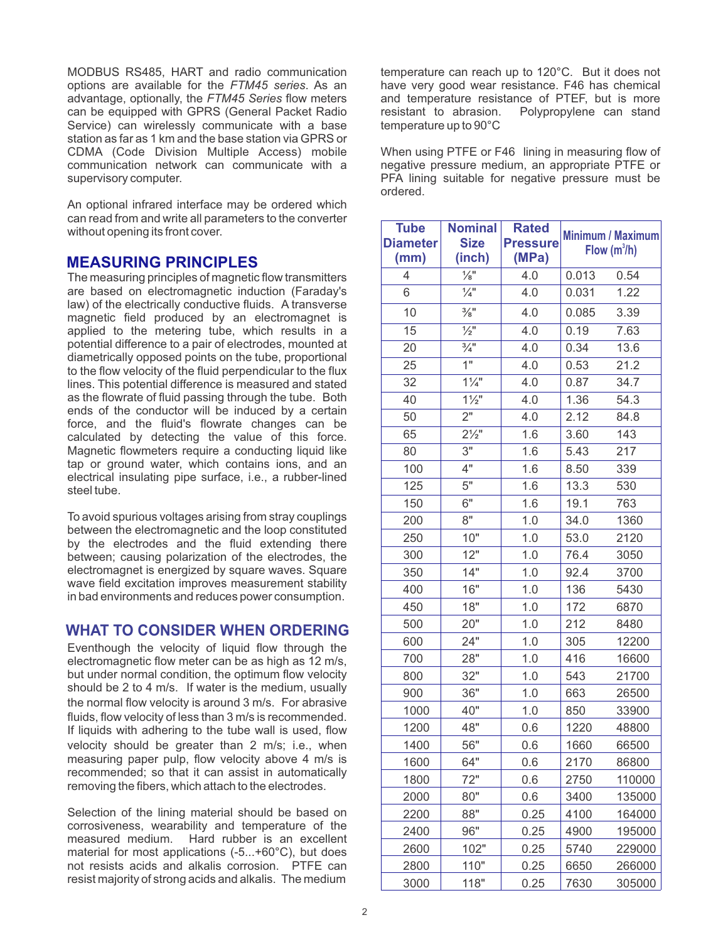MODBUS RS485, HART and radio communication options are available for the *FTM45 series*. As an advantage, optionally, the *FTM45 Series* flow meters can be equipped with GPRS (General Packet Radio Service) can wirelessly communicate with a base station as far as 1 km and the base station via GPRS or CDMA (Code Division Multiple Access) mobile communication network can communicate with a supervisory computer.

An optional infrared interface may be ordered which can read from and write all parameters to the converter without opening its front cover.

#### **MEASURING PRINCIPLES**

The measuring principles of magnetic flow transmitters are based on electromagnetic induction (Faraday's law) of the electrically conductive fluids. A transverse magnetic field produced by an electromagnet is applied to the metering tube, which results in a potential difference to a pair of electrodes, mounted at diametrically opposed points on the tube, proportional to the flow velocity of the fluid perpendicular to the flux lines. This potential difference is measured and stated as the flowrate of fluid passing through the tube. Both ends of the conductor will be induced by a certain force, and the fluid's flowrate changes can be calculated by detecting the value of this force. Magnetic flowmeters require a conducting liquid like tap or ground water, which contains ions, and an electrical insulating pipe surface, i.e., a rubber-lined steel tube.

To avoid spurious voltages arising from stray couplings between the electromagnetic and the loop constituted by the electrodes and the fluid extending there between; causing polarization of the electrodes, the electromagnet is energized by square waves. Square wave field excitation improves measurement stability in bad environments and reduces power consumption.

#### **WHAT TO CONSIDER WHEN ORDERING**

Eventhough the velocity of liquid flow through the electromagnetic flow meter can be as high as 12 m/s, but under normal condition, the optimum flow velocity should be 2 to 4 m/s. If water is the medium, usually the normal flow velocity is around 3 m/s. For abrasive fluids, flow velocity of less than 3 m/s is recommended. If liquids with adhering to the tube wall is used, flow velocity should be greater than 2 m/s; i.e., when measuring paper pulp, flow velocity above 4 m/s is recommended; so that it can assist in automatically removing the fibers, which attach to the electrodes.

Selection of the lining material should be based on corrosiveness, wearability and temperature of the measured medium. Hard rubber is an excellent material for most applications (-5...+60°C), but does not resists acids and alkalis corrosion. PTFE can resist majority of strong acids and alkalis. The medium

temperature can reach up to 120°C. But it does not have very good wear resistance. F46 has chemical and temperature resistance of PTEF, but is more resistant to abrasion. Polypropylene can stand Polypropylene can stand temperature up to 90°C

When using PTFE or F46 lining in measuring flow of negative pressure medium, an appropriate PTFE or PFA lining suitable for negative pressure must be ordered.

| <b>Tube</b><br><b>Diameter</b><br>(mm) | <b>Nominal</b><br><b>Size</b><br>(inch) | <b>Rated</b><br><b>Pressure</b><br>(MPa) | <b>Minimum / Maximum</b><br>Flow $(m^3/h)$ |        |
|----------------------------------------|-----------------------------------------|------------------------------------------|--------------------------------------------|--------|
| $\overline{4}$                         | $\frac{1}{8}$ "                         | 4.0                                      | 0.013                                      | 0.54   |
| 6                                      | $\frac{1}{4}$ "                         | 4.0                                      | 0.031                                      | 1.22   |
| 10                                     | $\frac{3}{8}$ "                         | 4.0                                      | 0.085                                      | 3.39   |
| 15                                     | $\frac{1}{2}$ "                         | 4.0                                      | 0.19                                       | 7.63   |
| 20                                     | $\frac{3}{4}$ "                         | 4.0                                      | 0.34                                       | 13.6   |
| 25                                     | 1"                                      | 4.0                                      | 0.53                                       | 21.2   |
| 32                                     | $1\frac{1}{4}$                          | 4.0                                      | 0.87                                       | 34.7   |
| 40                                     | $1\frac{1}{2}$                          | 4.0                                      | 1.36                                       | 54.3   |
| 50                                     | $\overline{2}$ "                        | 4.0                                      | 2.12                                       | 84.8   |
| 65                                     | $2\frac{1}{2}$ "                        | 1.6                                      | 3.60                                       | 143    |
| 80                                     | 3"                                      | 1.6                                      | 5.43                                       | 217    |
| 100                                    | 4"                                      | 1.6                                      | 8.50                                       | 339    |
| 125                                    | 5"                                      | 1.6                                      | 13.3                                       | 530    |
| 150                                    | 6"                                      | 1.6                                      | 19.1                                       | 763    |
| 200                                    | 8"                                      | 1.0                                      | 34.0                                       | 1360   |
| 250                                    | 10"                                     | 1.0                                      | 53.0                                       | 2120   |
| 300                                    | 12"                                     | 1.0                                      | 76.4                                       | 3050   |
| 350                                    | 14"                                     | 1.0                                      | 92.4                                       | 3700   |
| 400                                    | 16"                                     | 1.0                                      | 136                                        | 5430   |
| 450                                    | 18"                                     | 1.0                                      | 172                                        | 6870   |
| 500                                    | 20"                                     | 1.0                                      | 212                                        | 8480   |
| 600                                    | 24"                                     | 1.0                                      | 305                                        | 12200  |
| 700                                    | 28"                                     | 1.0                                      | 416                                        | 16600  |
| 800                                    | 32"                                     | 1.0                                      | 543                                        | 21700  |
| 900                                    | 36"                                     | 1.0                                      | 663                                        | 26500  |
| 1000                                   | 40"                                     | 1.0                                      | 850                                        | 33900  |
| 1200                                   | 48"                                     | 0.6                                      | 1220                                       | 48800  |
| 1400                                   | 56"                                     | 0.6                                      | 1660                                       | 66500  |
| 1600                                   | 64"                                     | 0.6                                      | 2170                                       | 86800  |
| 1800                                   | 72"                                     | 0.6                                      | 2750                                       | 110000 |
| 2000                                   | 80"                                     | 0.6                                      | 3400                                       | 135000 |
| 2200                                   | 88"                                     | 0.25                                     | 4100                                       | 164000 |
| 2400                                   | 96"                                     | 0.25                                     | 4900                                       | 195000 |
| 2600                                   | 102"                                    | 0.25                                     | 5740                                       | 229000 |
| 2800                                   | 110"                                    | 0.25                                     | 6650                                       | 266000 |
| 3000                                   | 118"                                    | 0.25                                     | 7630                                       | 305000 |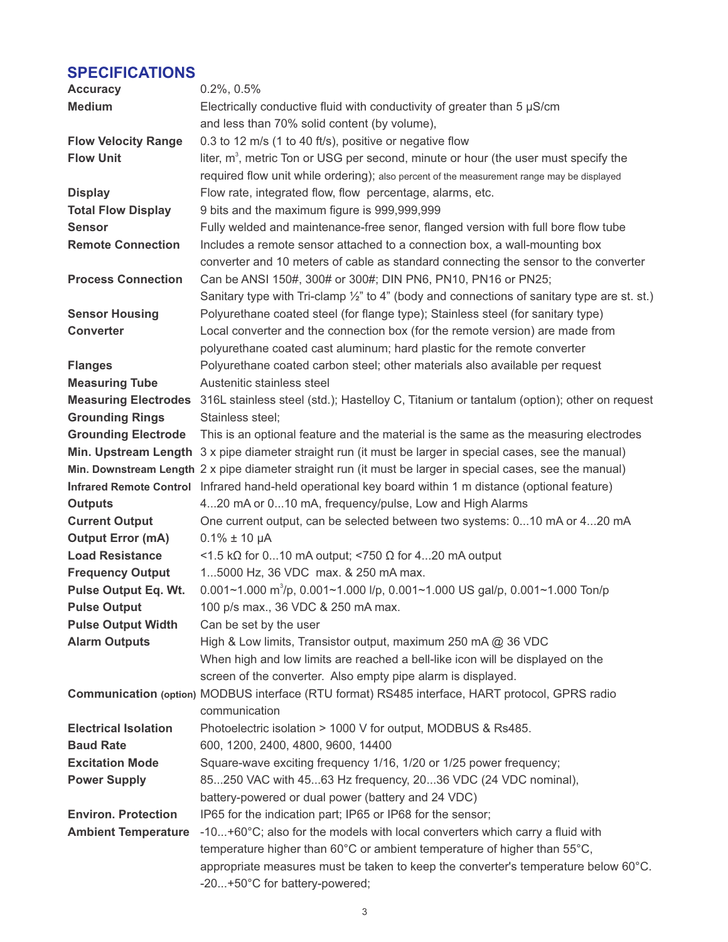### **SPECIFICATIONS**

| <b>Accuracy</b>             | $0.2\%$ , $0.5\%$                                                                                                |
|-----------------------------|------------------------------------------------------------------------------------------------------------------|
| <b>Medium</b>               | Electrically conductive fluid with conductivity of greater than 5 µS/cm                                          |
|                             | and less than 70% solid content (by volume),                                                                     |
| <b>Flow Velocity Range</b>  | 0.3 to 12 m/s (1 to 40 ft/s), positive or negative flow                                                          |
| <b>Flow Unit</b>            | liter, $m3$ , metric Ton or USG per second, minute or hour (the user must specify the                            |
|                             | required flow unit while ordering); also percent of the measurement range may be displayed                       |
| <b>Display</b>              | Flow rate, integrated flow, flow percentage, alarms, etc.                                                        |
| <b>Total Flow Display</b>   | 9 bits and the maximum figure is 999,999,999                                                                     |
| <b>Sensor</b>               | Fully welded and maintenance-free senor, flanged version with full bore flow tube                                |
| <b>Remote Connection</b>    | Includes a remote sensor attached to a connection box, a wall-mounting box                                       |
|                             | converter and 10 meters of cable as standard connecting the sensor to the converter                              |
| <b>Process Connection</b>   | Can be ANSI 150#, 300# or 300#; DIN PN6, PN10, PN16 or PN25;                                                     |
|                             | Sanitary type with Tri-clamp 1/2" to 4" (body and connections of sanitary type are st. st.)                      |
| <b>Sensor Housing</b>       | Polyurethane coated steel (for flange type); Stainless steel (for sanitary type)                                 |
| <b>Converter</b>            | Local converter and the connection box (for the remote version) are made from                                    |
|                             | polyurethane coated cast aluminum; hard plastic for the remote converter                                         |
| <b>Flanges</b>              | Polyurethane coated carbon steel; other materials also available per request                                     |
| <b>Measuring Tube</b>       | Austenitic stainless steel                                                                                       |
|                             | Measuring Electrodes 316L stainless steel (std.); Hastelloy C, Titanium or tantalum (option); other on request   |
| <b>Grounding Rings</b>      | Stainless steel;                                                                                                 |
| <b>Grounding Electrode</b>  | This is an optional feature and the material is the same as the measuring electrodes                             |
|                             | Min. Upstream Length 3 x pipe diameter straight run (it must be larger in special cases, see the manual)         |
|                             | Min. Downstream Length 2 x pipe diameter straight run (it must be larger in special cases, see the manual)       |
|                             | Infrared Remote Control Infrared hand-held operational key board within 1 m distance (optional feature)          |
| <b>Outputs</b>              | 420 mA or 010 mA, frequency/pulse, Low and High Alarms                                                           |
| <b>Current Output</b>       | One current output, can be selected between two systems: 010 mA or 420 mA                                        |
| <b>Output Error (mA)</b>    | $0.1\% \pm 10 \mu A$                                                                                             |
| <b>Load Resistance</b>      | <1.5 kΩ for 010 mA output; <750 Ω for 420 mA output                                                              |
| <b>Frequency Output</b>     | 15000 Hz, 36 VDC max. & 250 mA max.                                                                              |
| <b>Pulse Output Eq. Wt.</b> | 0.001~1.000 m <sup>3</sup> /p, 0.001~1.000 l/p, 0.001~1.000 US gal/p, 0.001~1.000 Ton/p                          |
| <b>Pulse Output</b>         | 100 p/s max., 36 VDC & 250 mA max.                                                                               |
| <b>Pulse Output Width</b>   | Can be set by the user                                                                                           |
| <b>Alarm Outputs</b>        | High & Low limits, Transistor output, maximum 250 mA @ 36 VDC                                                    |
|                             | When high and low limits are reached a bell-like icon will be displayed on the                                   |
|                             | screen of the converter. Also empty pipe alarm is displayed.                                                     |
|                             | Communication (option) MODBUS interface (RTU format) RS485 interface, HART protocol, GPRS radio<br>communication |
| <b>Electrical Isolation</b> | Photoelectric isolation > 1000 V for output, MODBUS & Rs485.                                                     |
| <b>Baud Rate</b>            | 600, 1200, 2400, 4800, 9600, 14400                                                                               |
| <b>Excitation Mode</b>      | Square-wave exciting frequency 1/16, 1/20 or 1/25 power frequency;                                               |
| <b>Power Supply</b>         | 85250 VAC with 4563 Hz frequency, 2036 VDC (24 VDC nominal),                                                     |
|                             | battery-powered or dual power (battery and 24 VDC)                                                               |
| <b>Environ. Protection</b>  | IP65 for the indication part; IP65 or IP68 for the sensor;                                                       |
| <b>Ambient Temperature</b>  | -10+60°C; also for the models with local converters which carry a fluid with                                     |
|                             | temperature higher than 60°C or ambient temperature of higher than 55°C,                                         |
|                             | appropriate measures must be taken to keep the converter's temperature below 60°C.                               |
|                             | -20+50°C for battery-powered;                                                                                    |